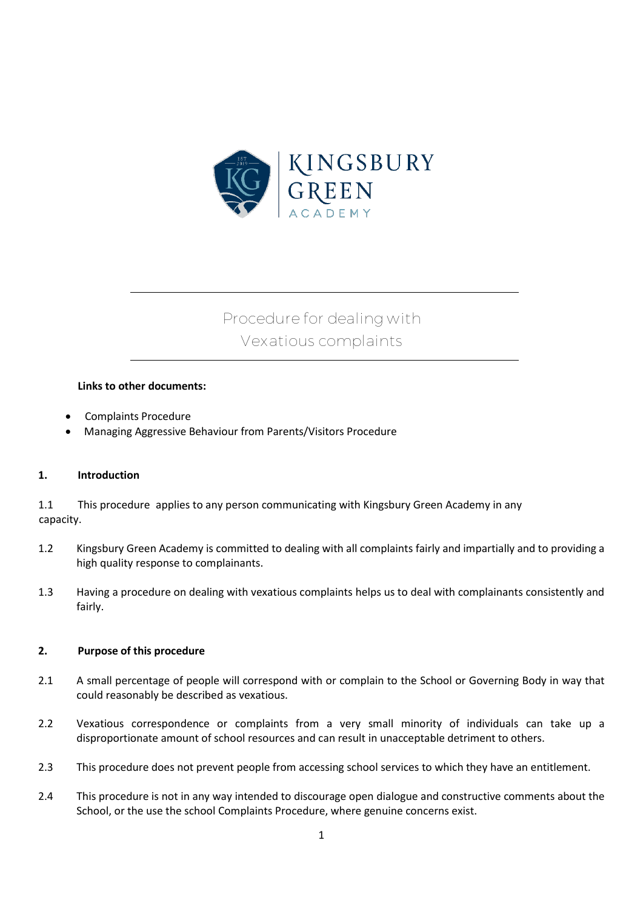

# **Procedure for dealing with Vexatious complaints**

### **Links to other documents:**

- Complaints Procedure
- Managing Aggressive Behaviour from Parents/Visitors Procedure

#### **1. Introduction**

1.1 This procedure applies to any person communicating with Kingsbury Green Academy in any capacity.

- 1.2 Kingsbury Green Academy is committed to dealing with all complaints fairly and impartially and to providing a high quality response to complainants.
- 1.3 Having a procedure on dealing with vexatious complaints helps us to deal with complainants consistently and fairly.

#### **2. Purpose of this procedure**

- 2.1 A small percentage of people will correspond with or complain to the School or Governing Body in way that could reasonably be described as vexatious.
- 2.2 Vexatious correspondence or complaints from a very small minority of individuals can take up a disproportionate amount of school resources and can result in unacceptable detriment to others.
- 2.3 This procedure does not prevent people from accessing school services to which they have an entitlement.
- 2.4 This procedure is not in any way intended to discourage open dialogue and constructive comments about the School, or the use the school Complaints Procedure, where genuine concerns exist.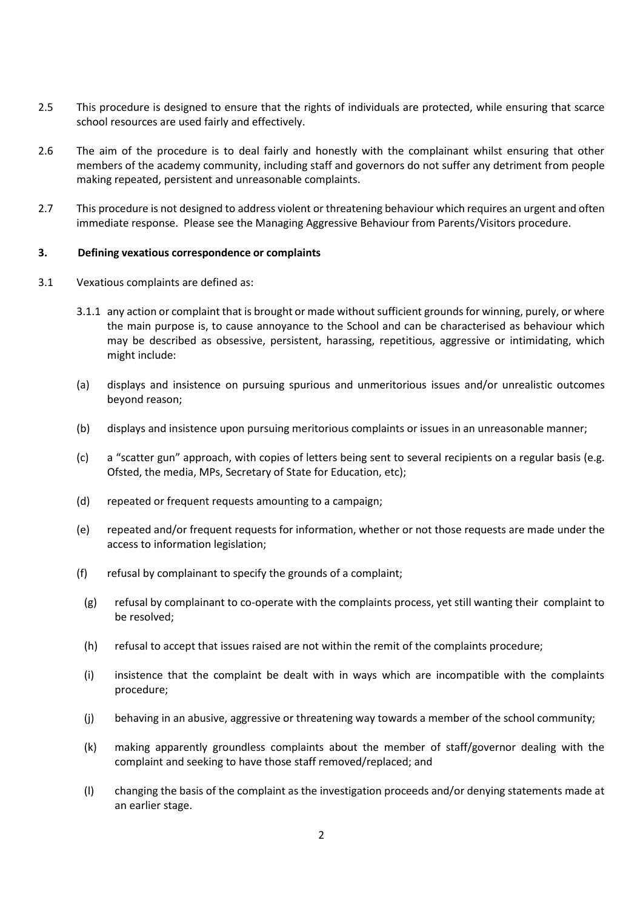- 2.5 This procedure is designed to ensure that the rights of individuals are protected, while ensuring that scarce school resources are used fairly and effectively.
- 2.6 The aim of the procedure is to deal fairly and honestly with the complainant whilst ensuring that other members of the academy community, including staff and governors do not suffer any detriment from people making repeated, persistent and unreasonable complaints.
- 2.7 This procedure is not designed to address violent or threatening behaviour which requires an urgent and often immediate response. Please see the Managing Aggressive Behaviour from Parents/Visitors procedure.

#### **3. Defining vexatious correspondence or complaints**

- 3.1 Vexatious complaints are defined as:
	- 3.1.1 any action or complaint that is brought or made without sufficient grounds for winning, purely, or where the main purpose is, to cause annoyance to the School and can be characterised as behaviour which may be described as obsessive, persistent, harassing, repetitious, aggressive or intimidating, which might include:
	- (a) displays and insistence on pursuing spurious and unmeritorious issues and/or unrealistic outcomes beyond reason;
	- (b) displays and insistence upon pursuing meritorious complaints or issues in an unreasonable manner;
	- (c) a "scatter gun" approach, with copies of letters being sent to several recipients on a regular basis (e.g. Ofsted, the media, MPs, Secretary of State for Education, etc);
	- (d) repeated or frequent requests amounting to a campaign;
	- (e) repeated and/or frequent requests for information, whether or not those requests are made under the access to information legislation;
	- (f) refusal by complainant to specify the grounds of a complaint;
	- (g) refusal by complainant to co-operate with the complaints process, yet still wanting their complaint to be resolved;
	- (h) refusal to accept that issues raised are not within the remit of the complaints procedure;
	- (i) insistence that the complaint be dealt with in ways which are incompatible with the complaints procedure;
	- (j) behaving in an abusive, aggressive or threatening way towards a member of the school community;
	- (k) making apparently groundless complaints about the member of staff/governor dealing with the complaint and seeking to have those staff removed/replaced; and
	- (l) changing the basis of the complaint as the investigation proceeds and/or denying statements made at an earlier stage.